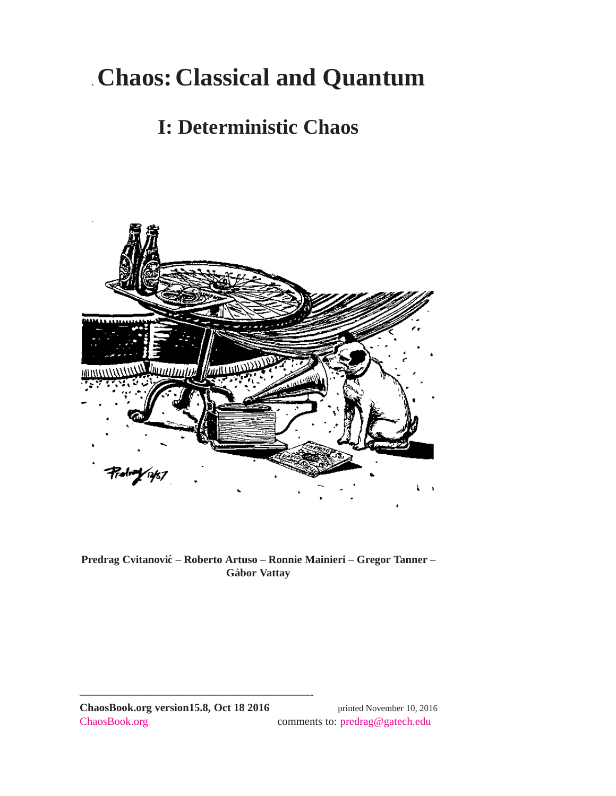# .**Chaos: Classical and Quantum**

## **I: Deterministic Chaos**



**Predrag Cvitanovic´** – **Roberto Artuso** – **Ronnie Mainieri** – **Gregor Tanner** – **Gabor Vattay ´**

—————————————————————-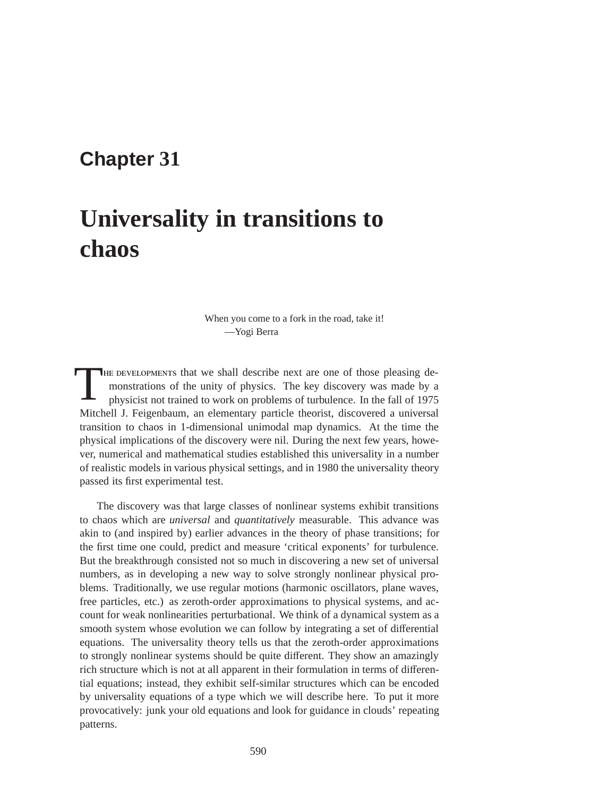## **Chapter 31**

# **Universality in transitions to chaos**

When you come to a fork in the road, take it! —Yogi Berra

THE DEVELOPMENTS that we shall describe next are one of those pleasing demonstrations of the unity of physics. The key discovery was made by a physicist not trained to work on problems of turbulence. In the fall of 1975 Mitchell J. Feigenbaum, an elementary particle theorist, discovered a universal transition to chaos in 1-dimensional unimodal map dynamics. At the time the physical implications of the discovery were nil. During the next few years, however, numerical and mathematical studies established this universality in a number of realistic models in various physical settings, and in 1980 the universality theory passed its first experimental test.

The discovery was that large classes of nonlinear systems exhibit transitions to chaos which are *universal* and *quantitatively* measurable. This advance was akin to (and inspired by) earlier advances in the theory of phase transitions; for the first time one could, predict and measure 'critical exponents' for turbulence. But the breakthrough consisted not so much in discovering a new set of universal numbers, as in developing a new way to solve strongly nonlinear physical problems. Traditionally, we use regular motions (harmonic oscillators, plane waves, free particles, etc.) as zeroth-order approximations to physical systems, and account for weak nonlinearities perturbational. We think of a dynamical system as a smooth system whose evolution we can follow by integrating a set of differential equations. The universality theory tells us that the zeroth-order approximations to strongly nonlinear systems should be quite different. They show an amazingly rich structure which is not at all apparent in their formulation in terms of differential equations; instead, they exhibit self-similar structures which can be encoded by universality equations of a type which we will describe here. To put it more provocatively: junk your old equations and look for guidance in clouds' repeating patterns.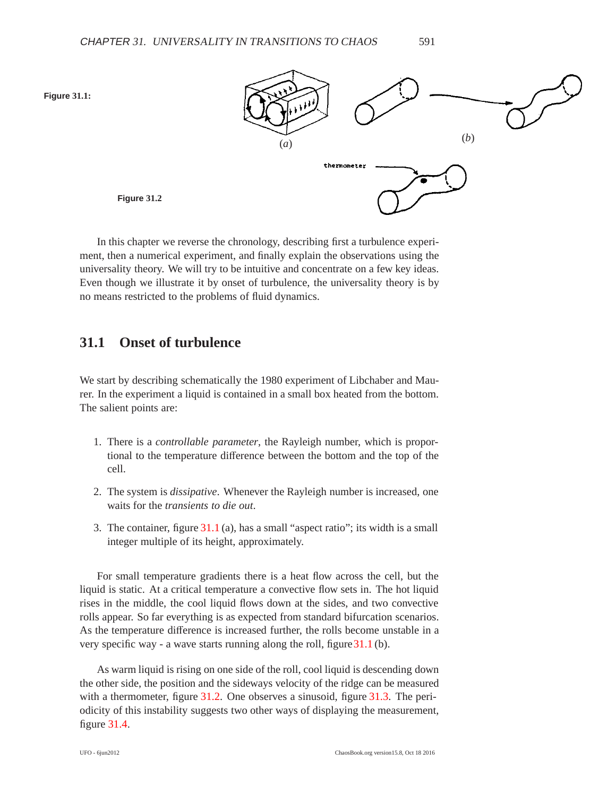<span id="page-2-1"></span><span id="page-2-0"></span>

In this chapter we reverse the chronology, describing first a turbulence experiment, then a numerical experiment, and finally explain the observations using the universality theory. We will try to be intuitive and concentrate on a few key ideas. Even though we illustrate it by onset of turbulence, the universality theory is by no means restricted to the problems of fluid dynamics.

### **31.1 Onset of turbulence**

We start by describing schematically the 1980 experiment of Libchaber and Maurer. In the experiment a liquid is contained in a small box heated from the bottom. The salient points are:

- 1. There is a *controllable parameter*, the Rayleigh number, which is proportional to the temperature difference between the bottom and the top of the cell.
- 2. The system is *dissipative*. Whenever the Rayleigh number is increased, one waits for the *transients to die out*.
- 3. The container, figure [31.1](#page-2-0) (a), has a small "aspect ratio"; its width is a small integer multiple of its height, approximately.

For small temperature gradients there is a heat flow across the cell, but the liquid is static. At a critical temperature a convective flow sets in. The hot liquid rises in the middle, the cool liquid flows down at the sides, and two convective rolls appear. So far everything is as expected from standard bifurcation scenarios. As the temperature difference is increased further, the rolls become unstable in a very specific way - a wave starts running along the roll, figure[31.1](#page-2-0) (b).

As warm liquid is rising on one side of the roll, cool liquid is descending down the other side, the position and the sideways velocity of the ridge can be measured with a thermometer, figure [31.2.](#page-2-1) One observes a sinusoid, figure [31.3.](#page-3-0) The periodicity of this instability suggests two other ways of displaying the measurement, figure [31.4.](#page-3-1)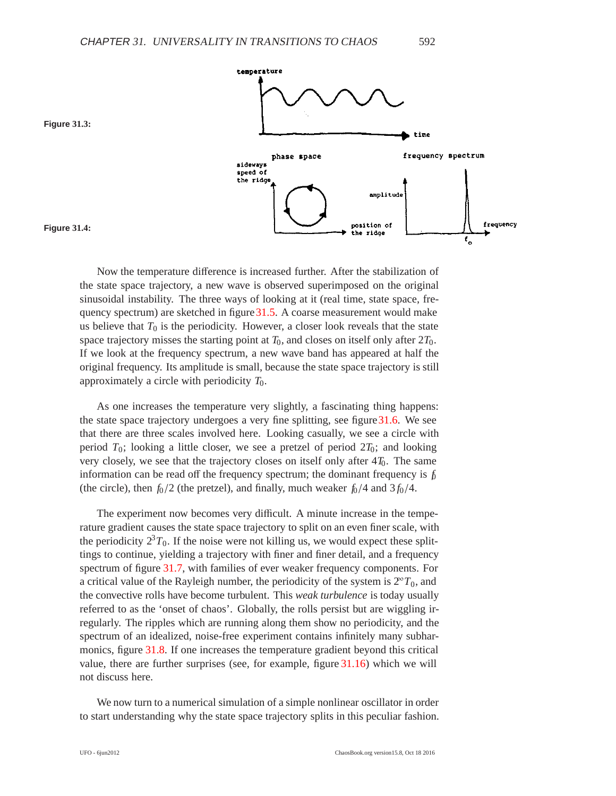



<span id="page-3-1"></span><span id="page-3-0"></span>**Figure 31.3:**

Now the temperature difference is increased further. After the stabilization of the state space trajectory, a new wave is observed superimposed on the original sinusoidal instability. The three ways of looking at it (real time, state space, frequency spectrum) are sketched in figure 31.5. A coarse measurement would make us believe that  $T_0$  is the periodicity. However, a closer look reveals that the state space trajectory misses the starting point at  $T_0$ , and closes on itself only after  $2T_0$ . If we look at the frequency spectrum, a new wave band has appeared at half the original frequency. Its amplitude is small, because the state space trajectory is still approximately a circle with periodicity *T*0.

As one increases the temperature very slightly, a fascinating thing happens: the state space trajectory undergoes a very fine splitting, see figure  $31.6$ . We see that there are three scales involved here. Looking casually, we see a circle with period  $T_0$ ; looking a little closer, we see a pretzel of period  $2T_0$ ; and looking very closely, we see that the trajectory closes on itself only after 4 $T_0$ . The same information can be read off the frequency spectrum; the dominant frequency is  $f_0$ (the circle), then  $f_0/2$  (the pretzel), and finally, much weaker  $f_0/4$  and  $3f_0/4$ .

The experiment now becomes very difficult. A minute increase in the temperature gradient causes the state space trajectory to split on an even finer scale, with the periodicity  $2^{3}T_{0}$ . If the noise were not killing us, we would expect these splittings to continue, yielding a trajectory with finer and finer detail, and a frequency spectrum of figure [31.7,](#page-5-0) with families of ever weaker frequency components. For a critical value of the Rayleigh number, the periodicity of the system is  $2^{\circ}T_0$ , and the convective rolls have become turbulent. This *weak turbulence* is today usually referred to as the 'onset of chaos'. Globally, the rolls persist but are wiggling irregularly. The ripples which are running along them show no periodicity, and the spectrum of an idealized, noise-free experiment contains infinitely many subharmonics, figure [31.8.](#page-5-1) If one increases the temperature gradient beyond this critical value, there are further surprises (see, for example, figure [31.16\)](#page-9-0) which we will not discuss here.

We now turn to a numerical simulation of a simple nonlinear oscillator in order to start understanding why the state space trajectory splits in this peculiar fashion.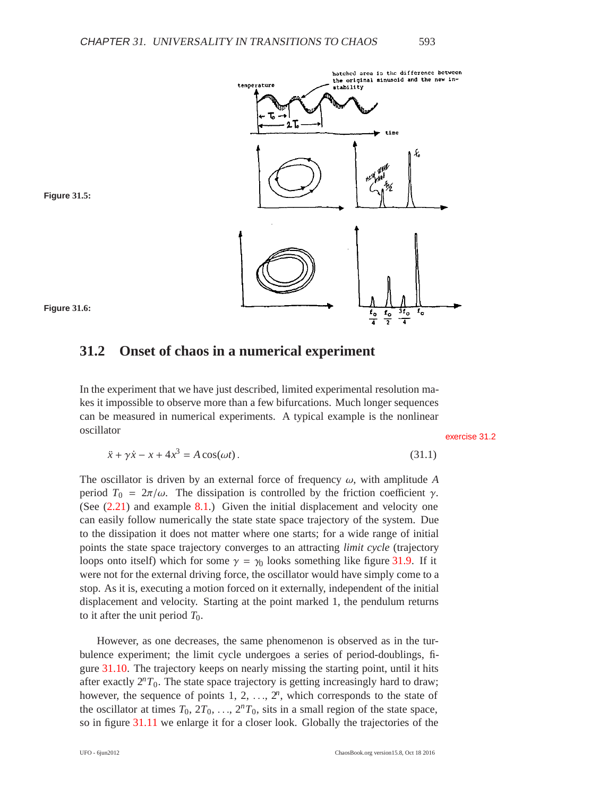

<span id="page-4-1"></span><span id="page-4-0"></span>

**Figure 31.6:**

## **31.2 Onset of chaos in a numerical experiment**

In the experiment that we have just described, limited experimental resolution makes it impossible to observe more than a few bifurcations. Much longer sequences can be measured in numerical experiments. A typical example is the nonlinear oscillator exercise [31.2](#page-19-0)

$$
\ddot{x} + \gamma \dot{x} - x + 4x^3 = A\cos(\omega t). \tag{31.1}
$$

The oscillator is driven by an external force of frequency  $\omega$ , with amplitude A period  $T_0 = 2\pi/\omega$ . The dissipation is controlled by the friction coefficient γ. (See [\(2.21\)](#page--1-0) and example [8.1.](#page--1-1)) Given the initial displacement and velocity one can easily follow numerically the state state space trajectory of the system. Due to the dissipation it does not matter where one starts; for a wide range of initial points the state space trajectory converges to an attracting *limit cycle* (trajectory loops onto itself) which for some  $\gamma = \gamma_0$  looks something like figure [31.9.](#page-6-0) If it were not for the external driving force, the oscillator would have simply come to a stop. As it is, executing a motion forced on it externally, independent of the initial displacement and velocity. Starting at the point marked 1, the pendulum returns to it after the unit period  $T_0$ .

However, as one decreases, the same phenomenon is observed as in the turbulence experiment; the limit cycle undergoes a series of period-doublings, figure [31.10.](#page-6-1) The trajectory keeps on nearly missing the starting point, until it hits after exactly  $2^{n}T_{0}$ . The state space trajectory is getting increasingly hard to draw; however, the sequence of points  $1, 2, \ldots, 2^n$ , which corresponds to the state of the oscillator at times  $T_0$ ,  $2T_0$ , ...,  $2^nT_0$ , sits in a small region of the state space, so in figure [31.11](#page-7-0) we enlarge it for a closer look. Globally the trajectories of the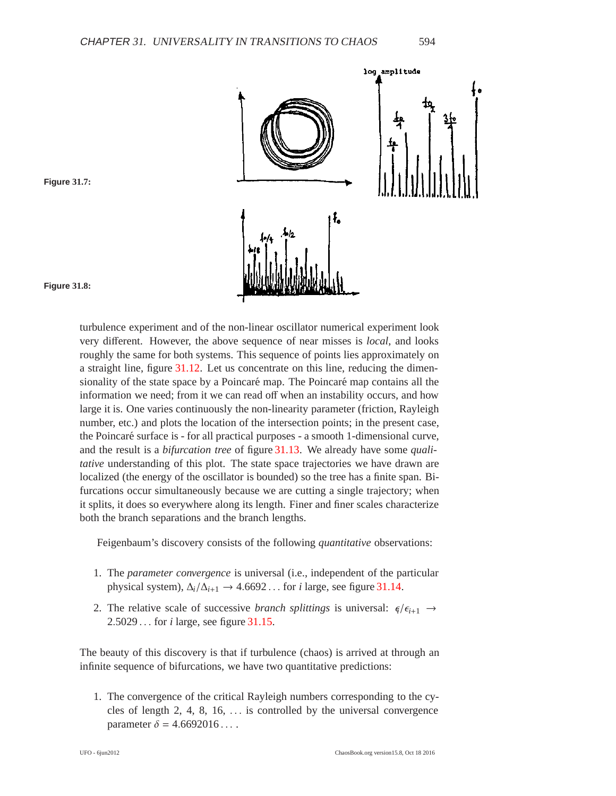

#### <span id="page-5-1"></span><span id="page-5-0"></span>**Figure 31.7:**

**Figure 31.8:**

turbulence experiment and of the non-linear oscillator numerical experiment look very different. However, the above sequence of near misses is *local*, and looks roughly the same for both systems. This sequence of points lies approximately on a straight line, figure [31.12.](#page-7-1) Let us concentrate on this line, reducing the dimensionality of the state space by a Poincaré map. The Poincaré map contains all the information we need; from it we can read off when an instability occurs, and how large it is. One varies continuously the non-linearity parameter (friction, Rayleigh number, etc.) and plots the location of the intersection points; in the present case, the Poincaré surface is - for all practical purposes - a smooth 1-dimensional curve, and the result is a *bifurcation tree* of figure [31.13.](#page-8-0) We already have some *qualitative* understanding of this plot. The state space trajectories we have drawn are localized (the energy of the oscillator is bounded) so the tree has a finite span. Bifurcations occur simultaneously because we are cutting a single trajectory; when it splits, it does so everywhere along its length. Finer and finer scales characterize both the branch separations and the branch lengths.

Feigenbaum's discovery consists of the following *quantitative* observations:

- 1. The *parameter convergence* is universal (i.e., independent of the particular physical system),  $\Delta_i/\Delta_{i+1} \rightarrow 4.6692...$  for *i* large, see figure [31.14.](#page-8-1)
- 2. The relative scale of successive *branch splittings* is universal:  $\epsilon / \epsilon_{i+1} \rightarrow$ 2.5029 ... for *i* large, see figure [31.15.](#page-9-1)

The beauty of this discovery is that if turbulence (chaos) is arrived at through an infinite sequence of bifurcations, we have two quantitative predictions:

1. The convergence of the critical Rayleigh numbers corresponding to the cycles of length 2, 4, 8, 16, ... is controlled by the universal convergence parameter  $\delta = 4.6692016...$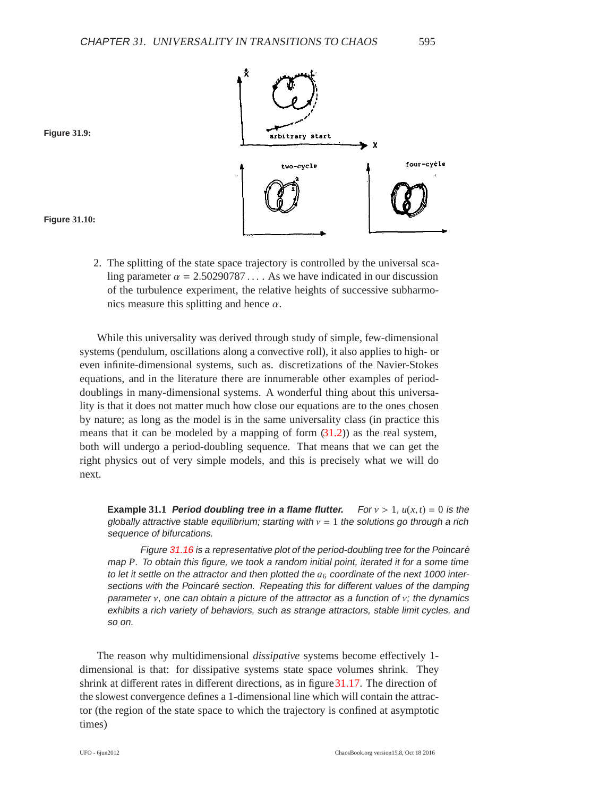

<span id="page-6-1"></span><span id="page-6-0"></span>**Figure 31.9:**

**Figure 31.10:**

- 2. The splitting of the state space trajectory is controlled by the universal sca
	- ling parameter  $\alpha = 2.50290787...$  As we have indicated in our discussion of the turbulence experiment, the relative heights of successive subharmonics measure this splitting and hence  $\alpha$ .

While this universality was derived through study of simple, few-dimensional systems (pendulum, oscillations along a convective roll), it also applies to high- or even infinite-dimensional systems, such as. discretizations of the Navier-Stokes equations, and in the literature there are innumerable other examples of perioddoublings in many-dimensional systems. A wonderful thing about this universality is that it does not matter much how close our equations are to the ones chosen by nature; as long as the model is in the same universality class (in practice this means that it can be modeled by a mapping of form  $(31.2)$ ) as the real system, both will undergo a period-doubling sequence. That means that we can get the right physics out of very simple models, and this is precisely what we will do next.

**Example** 31.1 **Period doubling tree in a flame flutter.** For  $v > 1$ ,  $u(x, t) = 0$  is the globally attractive stable equilibrium; starting with  $v = 1$  the solutions go through a rich sequence of bifurcations.

Figure [31.16](#page-9-0) is a representative plot of the period-doubling tree for the Poincaré map *P*. To obtain this figure, we took <sup>a</sup> random initial point, iterated it for <sup>a</sup> some time to let it settle on the attractor and then plotted the  $a<sub>6</sub>$  coordinate of the next 1000 intersections with the Poincaré section. Repeating this for different values of the damping parameter  $v$ , one can obtain a picture of the attractor as a function of  $v$ ; the dynamics exhibits <sup>a</sup> rich variety of behaviors, such as strange attractors, stable limit cycles, and so on.

The reason why multidimensional *dissipative* systems become effectively 1 dimensional is that: for dissipative systems state space volumes shrink. They shrink at different rates in different directions, as in figure 31.17. The direction of the slowest convergence defines a 1-dimensional line which will contain the attractor (the region of the state space to which the trajectory is confined at asymptotic times)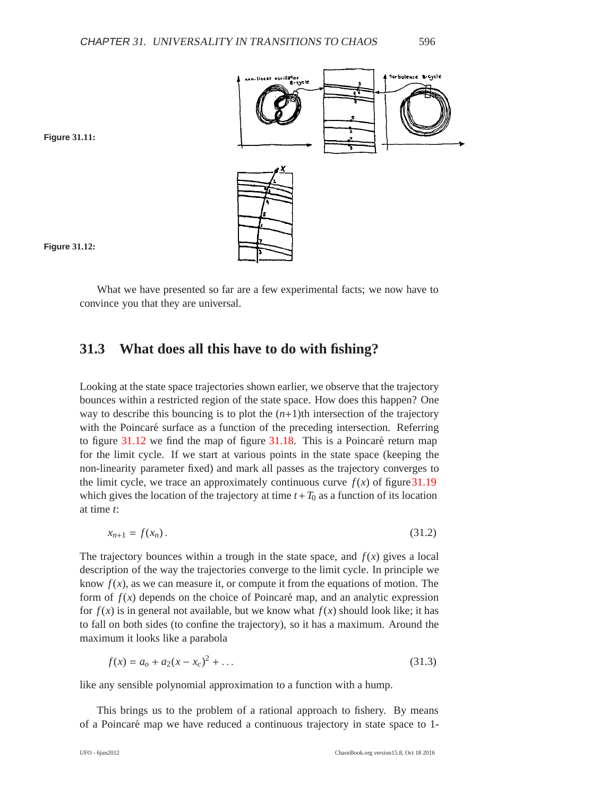

#### <span id="page-7-1"></span><span id="page-7-0"></span>**Figure 31.11:**



What we have presented so far are a few experimental facts; we now have to convince you that they are universal.

## **31.3 What does all this have to do with fishing?**

Looking at the state space trajectories shown earlier, we observe that the trajectory bounces within a restricted region of the state space. How does this happen? One way to describe this bouncing is to plot the  $(n+1)$ th intersection of the trajectory with the Poincaré surface as a function of the preceding intersection. Referring to figure  $31.12$  we find the map of figure  $31.18$ . This is a Poincaré return map for the limit cycle. If we start at various points in the state space (keeping the non-linearity parameter fixed) and mark all passes as the trajectory converges to the limit cycle, we trace an approximately continuous curve  $f(x)$  of figure 31.19 which gives the location of the trajectory at time  $t + T_0$  as a function of its location at time *t*:

<span id="page-7-2"></span>
$$
x_{n+1} = f(x_n). \tag{31.2}
$$

The trajectory bounces within a trough in the state space, and  $f(x)$  gives a local description of the way the trajectories converge to the limit cycle. In principle we know  $f(x)$ , as we can measure it, or compute it from the equations of motion. The form of  $f(x)$  depends on the choice of Poincaré map, and an analytic expression for  $f(x)$  is in general not available, but we know what  $f(x)$  should look like; it has to fall on both sides (to confine the trajectory), so it has a maximum. Around the maximum it looks like a parabola

$$
f(x) = a_0 + a_2(x - x_c)^2 + \dots
$$
 (31.3)

like any sensible polynomial approximation to a function with a hump.

This brings us to the problem of a rational approach to fishery. By means of a Poincaré map we have reduced a continuous trajectory in state space to 1-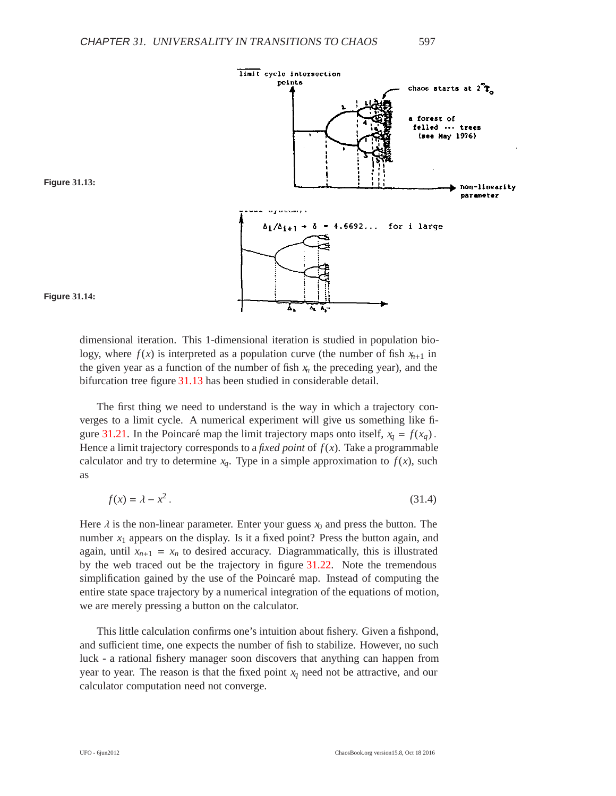<span id="page-8-0"></span>

<span id="page-8-1"></span>

**Figure 31.14:**

dimensional iteration. This 1-dimensional iteration is studied in population biology, where  $f(x)$  is interpreted as a population curve (the number of fish  $x_{n+1}$  in the given year as a function of the number of fish  $x_n$  the preceding year), and the bifurcation tree figure [31.13](#page-8-0) has been studied in considerable detail.

The first thing we need to understand is the way in which a trajectory converges to a limit cycle. A numerical experiment will give us something like fi-gure [31.21.](#page-12-0) In the Poincaré map the limit trajectory maps onto itself,  $x_q = f(x_q)$ . Hence a limit trajectory corresponds to a *fixed point* of  $f(x)$ . Take a programmable calculator and try to determine  $x_q$ . Type in a simple approximation to  $f(x)$ , such as

<span id="page-8-2"></span>
$$
f(x) = \lambda - x^2. \tag{31.4}
$$

Here  $\lambda$  is the non-linear parameter. Enter your guess  $x_0$  and press the button. The number  $x_1$  appears on the display. Is it a fixed point? Press the button again, and again, until  $x_{n+1} = x_n$  to desired accuracy. Diagrammatically, this is illustrated by the web traced out be the trajectory in figure [31.22.](#page-12-1) Note the tremendous simplification gained by the use of the Poincaré map. Instead of computing the entire state space trajectory by a numerical integration of the equations of motion, we are merely pressing a button on the calculator.

This little calculation confirms one's intuition about fishery. Given a fishpond, and sufficient time, one expects the number of fish to stabilize. However, no such luck - a rational fishery manager soon discovers that anything can happen from year to year. The reason is that the fixed point  $x_q$  need not be attractive, and our calculator computation need not converge.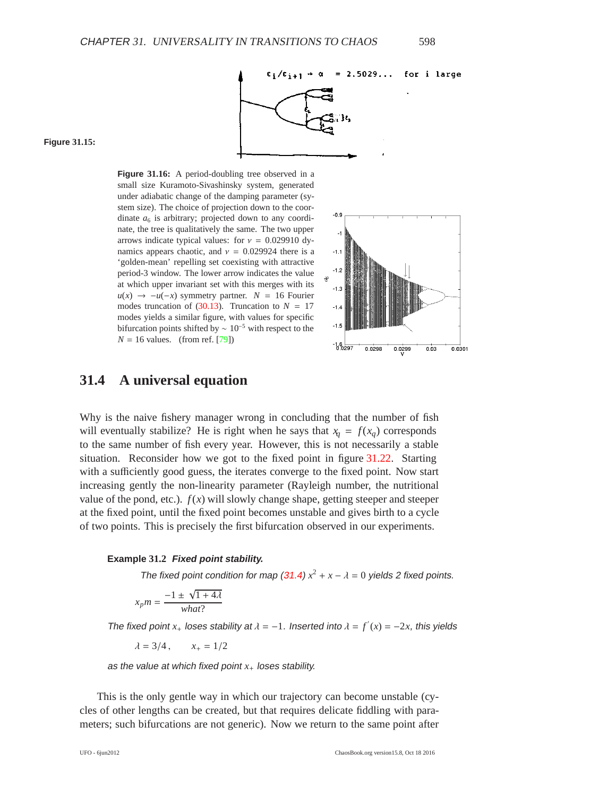<span id="page-9-1"></span><span id="page-9-0"></span>**Figure 31.15:**

**Figure 31.16:** A period-doubling tree observed in a small size Kuramoto-Sivashinsky system, generated under adiabatic change of the damping parameter (system size). The choice of projection down to the coordinate  $a_6$  is arbitrary; projected down to any coordinate, the tree is qualitatively the same. The two upper arrows indicate typical values: for  $v = 0.029910$  dynamics appears chaotic, and  $v = 0.029924$  there is a 'golden-mean' repelling set coexisting with attractive period-3 window. The lower arrow indicates the value at which upper invariant set with this merges with its  $u(x) \rightarrow -u(-x)$  symmetry partner.  $N = 16$  Fourier modes truncation of [\(30.13\)](#page--1-2). Truncation to  $N = 17$ modes yields a similar figure, with values for specific bifurcation points shifted by  $\sim 10^{-5}$  with respect to the  $N = 16$  values. (from ref. [\[79\]](#page--1-3))



### **31.4 A universal equation**

Why is the naive fishery manager wrong in concluding that the number of fish will eventually stabilize? He is right when he says that  $x_q = f(x_q)$  corresponds to the same number of fish every year. However, this is not necessarily a stable situation. Reconsider how we got to the fixed point in figure [31.22.](#page-12-1) Starting with a sufficiently good guess, the iterates converge to the fixed point. Now start increasing gently the non-linearity parameter (Rayleigh number, the nutritional value of the pond, etc.).  $f(x)$  will slowly change shape, getting steeper and steeper at the fixed point, until the fixed point becomes unstable and gives birth to a cycle of two points. This is precisely the first bifurcation observed in our experiments.

#### **Example 31.2 Fixed point stability.**

The fixed point condition for map [\(31.4\)](#page-8-2)  $x^2 + x - \lambda = 0$  yields 2 fixed points.

$$
x_p m = \frac{-1 \pm \sqrt{1 + 4\lambda}}{what?}
$$

The fixed point  $x_+$  loses stability at  $\lambda = -1$ . Inserted into  $\lambda = f'(x) = -2x$ , this yields

 $\lambda = 3/4$ ,  $x_+ = 1/2$ 

as the value at which fixed point  $x_+$  loses stability.

This is the only gentle way in which our trajectory can become unstable (cycles of other lengths can be created, but that requires delicate fiddling with parameters; such bifurcations are not generic). Now we return to the same point after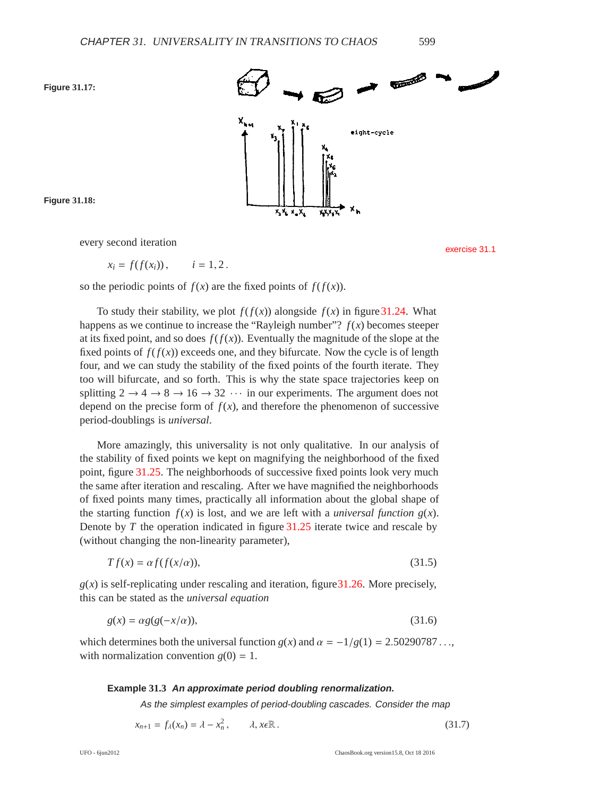<span id="page-10-1"></span><span id="page-10-0"></span>



**Figure 31.18:**

every second iteration exercise [31.1](#page-19-1)

$$
x_i = f(f(x_i)), \qquad i = 1, 2.
$$

so the periodic points of  $f(x)$  are the fixed points of  $f(f(x))$ .

To study their stability, we plot  $f(f(x))$  alongside  $f(x)$  in figure [31.24.](#page-13-0) What happens as we continue to increase the "Rayleigh number"?  $f(x)$  becomes steeper at its fixed point, and so does  $f(f(x))$ . Eventually the magnitude of the slope at the fixed points of  $f(f(x))$  exceeds one, and they bifurcate. Now the cycle is of length four, and we can study the stability of the fixed points of the fourth iterate. They too will bifurcate, and so forth. This is why the state space trajectories keep on splitting  $2 \rightarrow 4 \rightarrow 8 \rightarrow 16 \rightarrow 32 \cdots$  in our experiments. The argument does not depend on the precise form of  $f(x)$ , and therefore the phenomenon of successive period-doublings is *universal*.

More amazingly, this universality is not only qualitative. In our analysis of the stability of fixed points we kept on magnifying the neighborhood of the fixed point, figure [31.25.](#page-14-0) The neighborhoods of successive fixed points look very much the same after iteration and rescaling. After we have magnified the neighborhoods of fixed points many times, practically all information about the global shape of the starting function  $f(x)$  is lost, and we are left with a *universal function*  $g(x)$ . Denote by *T* the operation indicated in figure [31.25](#page-14-0) iterate twice and rescale by (without changing the non-linearity parameter),

<span id="page-10-5"></span><span id="page-10-3"></span>
$$
Tf(x) = \alpha f(f(x/\alpha)),\tag{31.5}
$$

 $g(x)$  is self-replicating under rescaling and iteration, figure 31.26. More precisely, this can be stated as the *universal equation*

$$
g(x) = \alpha g(g(-x/\alpha)),\tag{31.6}
$$

which determines both the universal function  $g(x)$  and  $\alpha = -1/g(1) = 2.50290787...$ with normalization convention  $g(0) = 1$ .

#### <span id="page-10-4"></span>**Example 31.3 An approximate period doubling renormalization.**

<span id="page-10-2"></span>As the simplest examples of period-doubling cascades. Consider the map

$$
x_{n+1} = f_{\lambda}(x_n) = \lambda - x_n^2, \qquad \lambda, x \in \mathbb{R} \,.
$$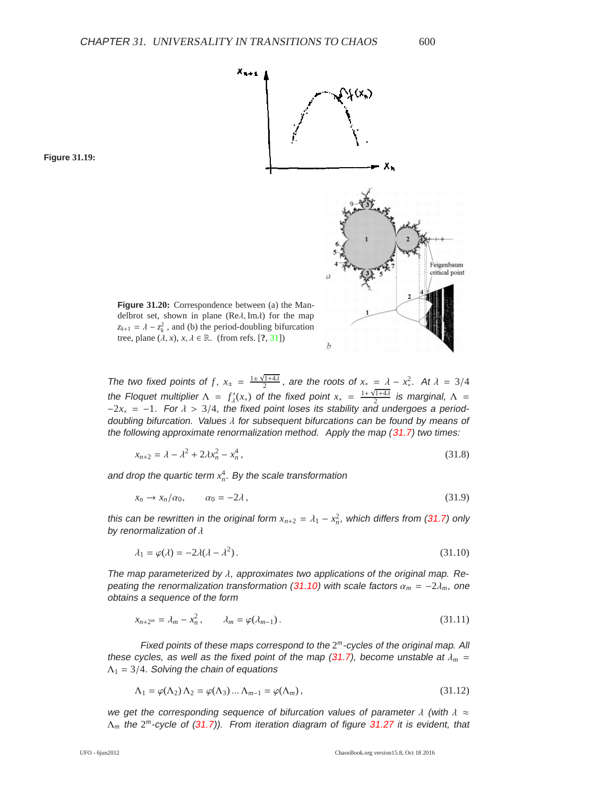$X_{n+1}$ 



**Figure 31.20:** Correspondence between (a) the Mandelbrot set, shown in plane ( $\text{Re}\lambda$ , Im $\lambda$ ) for the map  $z_{k+1} = \lambda - z_k^2$ , and (b) the period-doubling bifurcation tree, plane  $(\lambda, x), x, \lambda \in \mathbb{R}$ . (from refs. [?, [31\]](#page-22-0))

The two fixed points of *f*,  $x_{\pm} = \frac{1 \pm \sqrt{1+4\lambda}}{2}$ , are the roots of  $x_* = \lambda - x_*^2$ . At  $\lambda = 3/4$ the Floquet multiplier  $\Lambda = f'_{\lambda}(x_*)$  of the fixed point  $x_* = \frac{1+\sqrt{1+4\lambda}}{2}$  is marginal,  $\Lambda =$  $-2x_* = -1$ . For  $\lambda > 3/4$ , the fixed point loses its stability and undergoes a perioddoubling bifurcation. Values  $\lambda$  for subsequent bifurcations can be found by means of the following approximate renormalization method. Apply the map [\(31.7\)](#page-10-2) two times:

$$
x_{n+2} = \lambda - \lambda^2 + 2\lambda x_n^2 - x_n^4, \tag{31.8}
$$

and drop the quartic term  $x_n^4$ . By the scale transformation

$$
x_n \to x_n/\alpha_0, \qquad \alpha_0 = -2\lambda \,, \tag{31.9}
$$

this can be rewritten in the original form  $x_{n+2} = \lambda_1 - x_n^2$ , which differs from [\(31.7\)](#page-10-2) only by renormalization of  $\lambda$ 

<span id="page-11-1"></span>
$$
\lambda_1 = \varphi(\lambda) = -2\lambda(\lambda - \lambda^2). \tag{31.10}
$$

The map parameterized by  $\lambda$ , approximates two applications of the original map. Re-peating the renormalization transformation [\(31.10\)](#page-11-1) with scale factors  $\alpha_m = -2\lambda_m$ , one obtains <sup>a</sup> sequence of the form

<span id="page-11-2"></span>
$$
x_{n+2^m} = \lambda_m - x_n^2, \qquad \lambda_m = \varphi(\lambda_{m-1}). \tag{31.11}
$$

Fixed points of these maps correspond to the 2*<sup>m</sup>*-cycles of the original map. All these cycles, as well as the fixed point of the map  $(31.7)$ , become unstable at  $\lambda_m$  =  $\Lambda_1 = 3/4$ . Solving the chain of equations

$$
\Lambda_1 = \varphi(\Lambda_2) \Lambda_2 = \varphi(\Lambda_3) \dots \Lambda_{m-1} = \varphi(\Lambda_m), \qquad (31.12)
$$

we get the corresponding sequence of bifurcation values of parameter  $\lambda$  (with  $\lambda \approx$ Λ*<sup>m</sup>* the 2*<sup>m</sup>*-cycle of [\(31.7\)](#page-10-2)). From iteration diagram of figure [31.27](#page-15-0) it is evident, that

<span id="page-11-0"></span>**Figure 31.19:**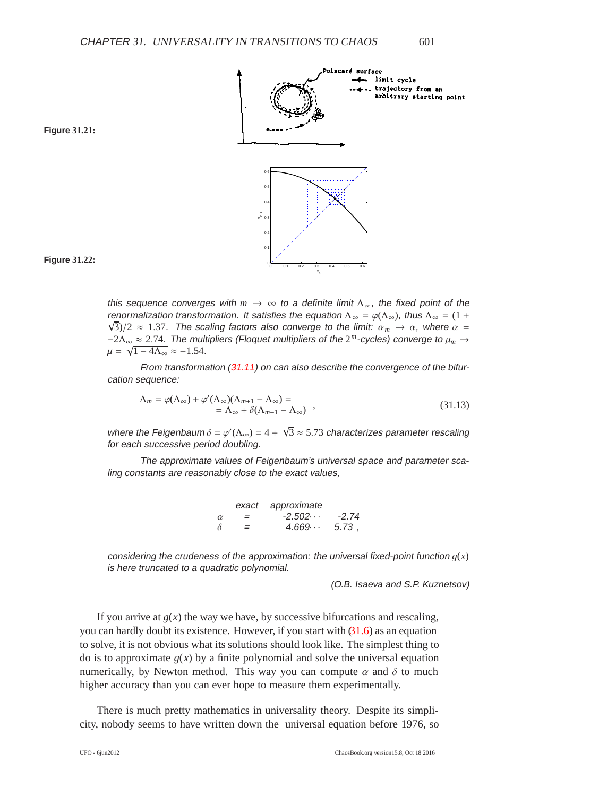

#### <span id="page-12-1"></span><span id="page-12-0"></span>**Figure 31.21:**



this sequence converges with  $m \to \infty$  to a definite limit  $\Lambda_{\infty}$ , the fixed point of the renormalization transformation. It satisfies the equation  $\Lambda_{\infty} = \varphi(\Lambda_{\infty})$ , thus  $\Lambda_{\infty} = (1 + \sqrt{2})$  $\sqrt{3}$ /2  $\approx$  1.37. The scaling factors also converge to the limit:  $\alpha_m \to \alpha$ , where  $\alpha =$ −2Λ<sup>∞</sup> ≈ 2.74. The multipliers (Floquet multipliers of the 2*<sup>m</sup>*-cycles) converge to μ*<sup>m</sup>* →  $\mu = \sqrt{1 - 4\Lambda_{\infty}} \approx -1.54.$ 

From transformation [\(31.11\)](#page-11-2) on can also describe the convergence of the bifurcation sequence:

$$
\Lambda_m = \varphi(\Lambda_\infty) + \varphi'(\Lambda_\infty)(\Lambda_{m+1} - \Lambda_\infty) =
$$
  
=  $\Lambda_\infty + \delta(\Lambda_{m+1} - \Lambda_\infty)$ , (31.13)

where the Feigenbaum  $\delta = \varphi'(\Lambda_\infty) = 4 + \sqrt{3} \approx 5.73$  characterizes parameter rescaling for each successive period doubling.

The approximate values of Feigenbaum's universal space and parameter scaling constants are reasonably close to the exact values,

|          | exact | approximate     |         |
|----------|-------|-----------------|---------|
| $\alpha$ | $=$   | $-2.502 \cdots$ | $-2.74$ |
| δ        | =     | 4.669           | 5.73.   |

considering the crudeness of the approximation: the universal fixed-point function  $g(x)$ is here truncated to <sup>a</sup> quadratic polynomial.

(O.B. Isaeva and S.P. Kuznetsov)

If you arrive at  $g(x)$  the way we have, by successive bifurcations and rescaling, you can hardly doubt its existence. However, if you start with  $(31.6)$  as an equation to solve, it is not obvious what its solutions should look like. The simplest thing to do is to approximate  $g(x)$  by a finite polynomial and solve the universal equation numerically, by Newton method. This way you can compute  $\alpha$  and  $\delta$  to much higher accuracy than you can ever hope to measure them experimentally.

There is much pretty mathematics in universality theory. Despite its simplicity, nobody seems to have written down the universal equation before 1976, so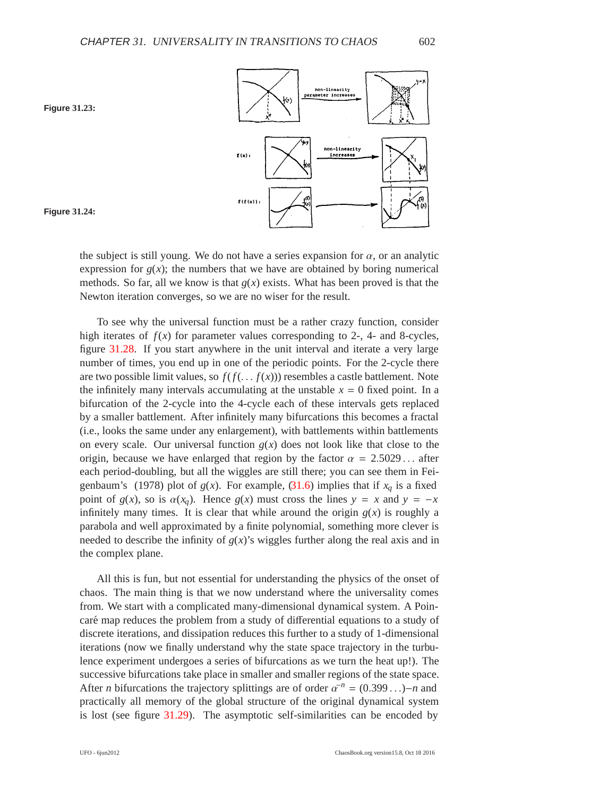<span id="page-13-0"></span>





the subject is still young. We do not have a series expansion for  $\alpha$ , or an analytic expression for  $g(x)$ ; the numbers that we have are obtained by boring numerical methods. So far, all we know is that  $g(x)$  exists. What has been proved is that the Newton iteration converges, so we are no wiser for the result.

To see why the universal function must be a rather crazy function, consider high iterates of  $f(x)$  for parameter values corresponding to 2-, 4- and 8-cycles, figure [31.28.](#page-15-1) If you start anywhere in the unit interval and iterate a very large number of times, you end up in one of the periodic points. For the 2-cycle there are two possible limit values, so  $f(f(\ldots f(x)))$  resembles a castle battlement. Note the infinitely many intervals accumulating at the unstable  $x = 0$  fixed point. In a bifurcation of the 2-cycle into the 4-cycle each of these intervals gets replaced by a smaller battlement. After infinitely many bifurcations this becomes a fractal (i.e., looks the same under any enlargement), with battlements within battlements on every scale. Our universal function  $g(x)$  does not look like that close to the origin, because we have enlarged that region by the factor  $\alpha = 2.5029...$  after each period-doubling, but all the wiggles are still there; you can see them in Feigenbaum's (1978) plot of  $g(x)$ . For example, [\(31.6\)](#page-10-3) implies that if  $x_q$  is a fixed point of  $g(x)$ , so is  $\alpha(x_q)$ . Hence  $g(x)$  must cross the lines  $y = x$  and  $y = -x$ infinitely many times. It is clear that while around the origin  $g(x)$  is roughly a parabola and well approximated by a finite polynomial, something more clever is needed to describe the infinity of  $g(x)$ 's wiggles further along the real axis and in the complex plane.

All this is fun, but not essential for understanding the physics of the onset of chaos. The main thing is that we now understand where the universality comes from. We start with a complicated many-dimensional dynamical system. A Poincaré map reduces the problem from a study of differential equations to a study of discrete iterations, and dissipation reduces this further to a study of 1-dimensional iterations (now we finally understand why the state space trajectory in the turbulence experiment undergoes a series of bifurcations as we turn the heat up!). The successive bifurcations take place in smaller and smaller regions of the state space. After *n* bifurcations the trajectory splittings are of order  $a^{-n} = (0.399...) - n$  and practically all memory of the global structure of the original dynamical system is lost (see figure [31.29\)](#page-16-0). The asymptotic self-similarities can be encoded by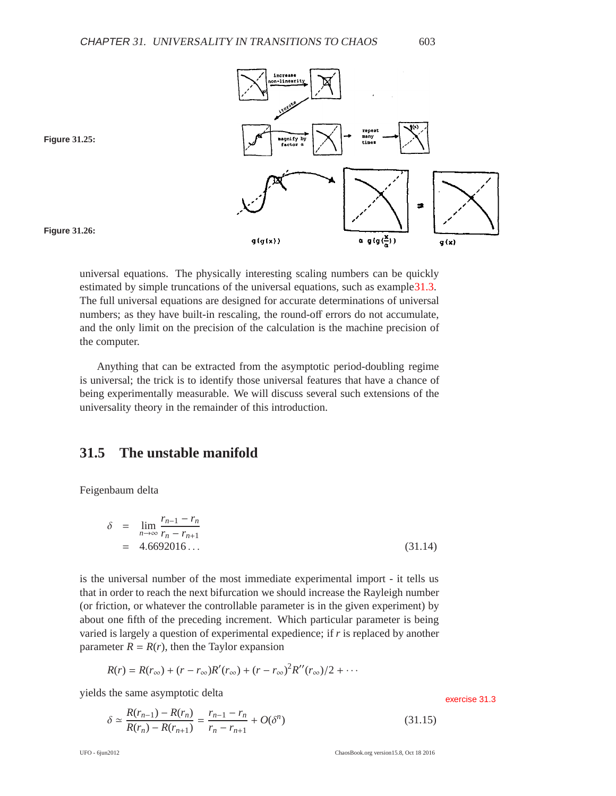<span id="page-14-1"></span><span id="page-14-0"></span>

universal equations. The physically interesting scaling numbers can be quickly estimated by simple truncations of the universal equations, such as exampl[e31.3.](#page-10-4) The full universal equations are designed for accurate determinations of universal numbers; as they have built-in rescaling, the round-off errors do not accumulate, and the only limit on the precision of the calculation is the machine precision of the computer.

Anything that can be extracted from the asymptotic period-doubling regime is universal; the trick is to identify those universal features that have a chance of being experimentally measurable. We will discuss several such extensions of the universality theory in the remainder of this introduction.

### **31.5 The unstable manifold**

Feigenbaum delta

$$
\delta = \lim_{n \to \infty} \frac{r_{n-1} - r_n}{r_n - r_{n+1}}
$$
  
= 4.6692016... (31.14)

is the universal number of the most immediate experimental import - it tells us that in order to reach the next bifurcation we should increase the Rayleigh number (or friction, or whatever the controllable parameter is in the given experiment) by about one fifth of the preceding increment. Which particular parameter is being varied is largely a question of experimental expedience; if *r* is replaced by another parameter  $R = R(r)$ , then the Taylor expansion

$$
R(r) = R(r_{\infty}) + (r - r_{\infty})R'(r_{\infty}) + (r - r_{\infty})^2R''(r_{\infty})/2 + \cdots
$$

yields the same asymptotic delta exercise [31.3](#page-20-0)

$$
\delta \simeq \frac{R(r_{n-1}) - R(r_n)}{R(r_n) - R(r_{n+1})} = \frac{r_{n-1} - r_n}{r_n - r_{n+1}} + O(\delta^n)
$$
\n(31.15)

UFO - 6jun2012 ChaosBook.org version15.8, Oct 18 2016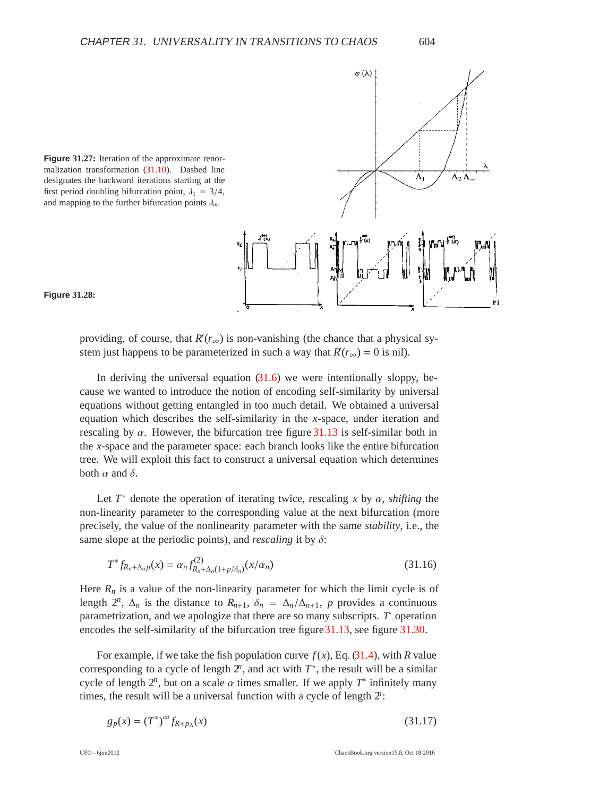<span id="page-15-0"></span>

 $\varphi(\lambda)$ 

<span id="page-15-1"></span>



providing, of course, that  $R'(r_\infty)$  is non-vanishing (the chance that a physical system just happens to be parameterized in such a way that  $R(r_\infty) = 0$  is nil).

In deriving the universal equation  $(31.6)$  we were intentionally sloppy, because we wanted to introduce the notion of encoding self-similarity by universal equations without getting entangled in too much detail. We obtained a universal equation which describes the self-similarity in the *x*-space, under iteration and rescaling by  $\alpha$ . However, the bifurcation tree figure [31.13](#page-8-0) is self-similar both in the *x*-space and the parameter space: each branch looks like the entire bifurcation tree. We will exploit this fact to construct a universal equation which determines both  $\alpha$  and  $\delta$ .

Let  $T^*$  denote the operation of iterating twice, rescaling x by  $\alpha$ , *shifting* the non-linearity parameter to the corresponding value at the next bifurcation (more precisely, the value of the nonlinearity parameter with the same *stability*, i.e., the same slope at the periodic points), and *rescaling* it by δ:

<span id="page-15-2"></span>
$$
T^* f_{R_n + \Delta_n p}(x) = \alpha_n f_{R_n + \Delta_n (1 + p/\delta_n)}^{(2)}(x/\alpha_n)
$$
\n(31.16)

Here  $R_n$  is a value of the non-linearity parameter for which the limit cycle is of length  $2^n$ ,  $\Delta_n$  is the distance to  $R_{n+1}$ ,  $\delta_n = \Delta_n/\Delta_{n+1}$ , *p* provides a continuous parametrization, and we apologize that there are so many subscripts. *T*<sup>∗</sup> operation encodes the self-similarity of the bifurcation tree figur[e31.13,](#page-8-0) see figure [31.30.](#page-16-1)

For example, if we take the fish population curve  $f(x)$ , Eq. [\(31.4\)](#page-8-2), with *R* value corresponding to a cycle of length  $2^n$ , and act with  $T^*$ , the result will be a similar cycle of length  $2^n$ , but on a scale  $\alpha$  times smaller. If we apply  $T^*$  infinitely many times, the result will be a universal function with a cycle of length 2*n*:

$$
g_p(x) = (T^*)^{\infty} f_{R + p_{\Delta}}(x)
$$
\n(31.17)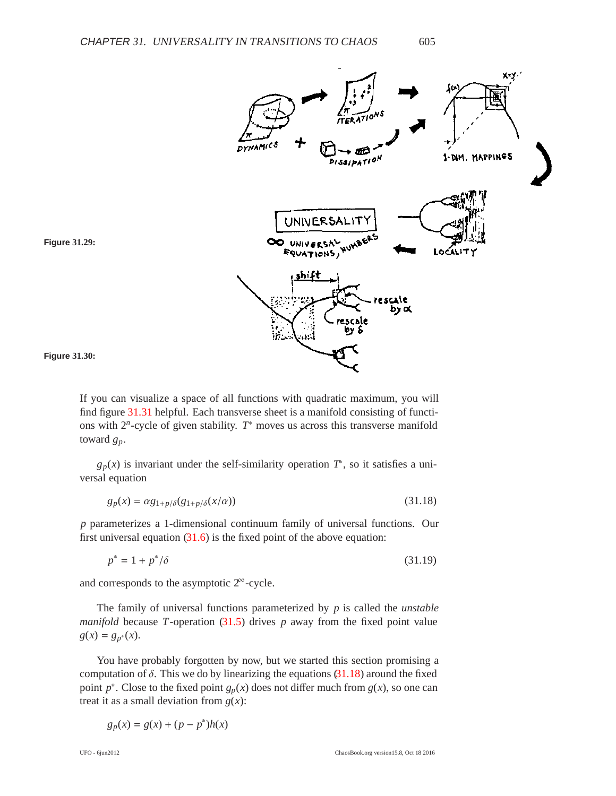<span id="page-16-0"></span>

<span id="page-16-1"></span>



If you can visualize a space of all functions with quadratic maximum, you will find figure [31.31](#page-17-0) helpful. Each transverse sheet is a manifold consisting of functions with 2*n*-cycle of given stability. *T*<sup>∗</sup> moves us across this transverse manifold toward *gp*.

 $g_p(x)$  is invariant under the self-similarity operation  $T^*$ , so it satisfies a universal equation

<span id="page-16-2"></span>
$$
g_p(x) = \alpha g_{1+p/\delta}(g_{1+p/\delta}(x/\alpha))\tag{31.18}
$$

*p* parameterizes a 1-dimensional continuum family of universal functions. Our first universal equation  $(31.6)$  is the fixed point of the above equation:

 $p^* = 1 + p^* / \delta$  $(31.19)$ 

and corresponds to the asymptotic  $2^{\infty}$ -cycle.

The family of universal functions parameterized by *p* is called the *unstable manifold* because *T*-operation  $(31.5)$  drives *p* away from the fixed point value  $g(x) = g_{p^*}(x)$ .

You have probably forgotten by now, but we started this section promising a computation of  $\delta$ . This we do by linearizing the equations [\(31.18\)](#page-16-2) around the fixed point  $p^*$ . Close to the fixed point  $g_p(x)$  does not differ much from  $g(x)$ , so one can treat it as a small deviation from  $g(x)$ :

$$
g_p(x) = g(x) + (p - p^*)h(x)
$$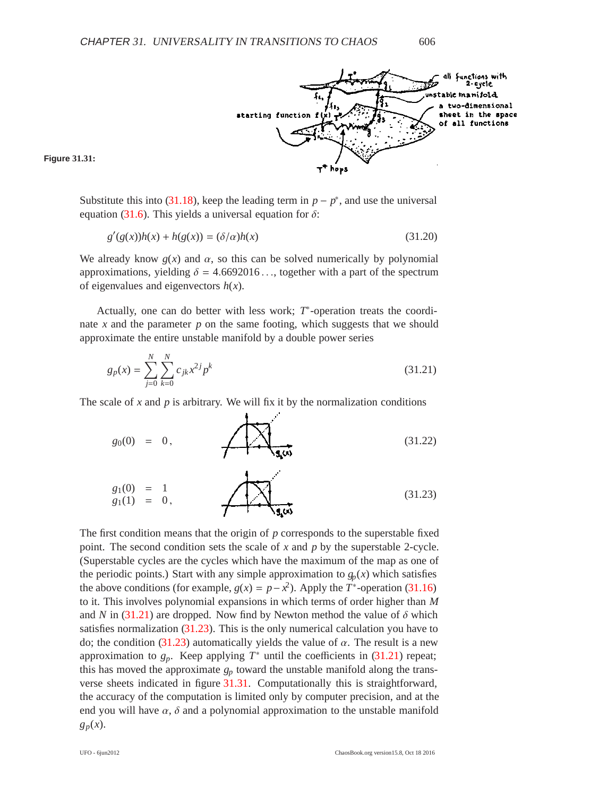

<span id="page-17-0"></span>**Figure 31.31:**

Substitute this into [\(31.18\)](#page-16-2), keep the leading term in  $p - p^*$ , and use the universal equation [\(31.6\)](#page-10-3). This yields a universal equation for  $\delta$ :

$$
g'(g(x))h(x) + h(g(x)) = (\delta/\alpha)h(x)
$$
\n(31.20)

We already know  $g(x)$  and  $\alpha$ , so this can be solved numerically by polynomial approximations, yielding  $\delta = 4.6692016...$ , together with a part of the spectrum of eigenvalues and eigenvectors *h*(*x*).

Actually, one can do better with less work; *T*∗-operation treats the coordinate  $x$  and the parameter  $p$  on the same footing, which suggests that we should approximate the entire unstable manifold by a double power series

<span id="page-17-1"></span>
$$
g_p(x) = \sum_{j=0}^{N} \sum_{k=0}^{N} c_{jk} x^{2j} p^k
$$
 (31.21)

The scale of  $x$  and  $p$  is arbitrary. We will fix it by the normalization conditions

<span id="page-17-2"></span>
$$
g_0(0) = 0, \qquad \qquad \overbrace{\mathbf{1}_{\mathbf{3}_i(0)}}^{(31.22)}
$$

$$
g_1(0) = 1 g_1(1) = 0,
$$
 (31.23)

The first condition means that the origin of *p* corresponds to the superstable fixed point. The second condition sets the scale of *x* and *p* by the superstable 2-cycle. (Superstable cycles are the cycles which have the maximum of the map as one of the periodic points.) Start with any simple approximation to  $g_p(x)$  which satisfies the above conditions (for example,  $g(x) = p - x^2$ ). Apply the  $T^*$ -operation [\(31.16\)](#page-15-2) to it. This involves polynomial expansions in which terms of order higher than *M* and *N* in [\(31.21\)](#page-17-1) are dropped. Now find by Newton method the value of  $\delta$  which satisfies normalization  $(31.23)$ . This is the only numerical calculation you have to do; the condition [\(31.23\)](#page-17-2) automatically yields the value of  $\alpha$ . The result is a new approximation to  $g_p$ . Keep applying  $T^*$  until the coefficients in [\(31.21\)](#page-17-1) repeat; this has moved the approximate  $g_p$  toward the unstable manifold along the transverse sheets indicated in figure [31.31.](#page-17-0) Computationally this is straightforward, the accuracy of the computation is limited only by computer precision, and at the end you will have  $\alpha$ ,  $\delta$  and a polynomial approximation to the unstable manifold *gp*(*x*).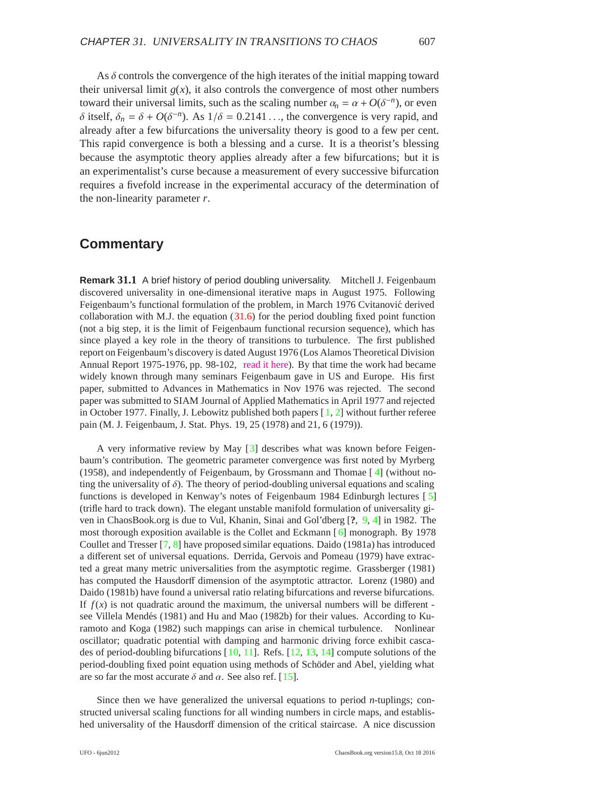As  $\delta$  controls the convergence of the high iterates of the initial mapping toward their universal limit  $g(x)$ , it also controls the convergence of most other numbers toward their universal limits, such as the scaling number  $\alpha_n = \alpha + O(\delta^{-n})$ , or even δ itself,  $δ<sub>n</sub> = δ + O(δ<sup>-n</sup>)$ . As  $1/δ = 0.2141...$ , the convergence is very rapid, and already after a few bifurcations the universality theory is good to a few per cent. This rapid convergence is both a blessing and a curse. It is a theorist's blessing because the asymptotic theory applies already after a few bifurcations; but it is an experimentalist's curse because a measurement of every successive bifurcation requires a fivefold increase in the experimental accuracy of the determination of the non-linearity parameter *r*.

#### **Commentary**

**Remark 31.1** A brief history of period doubling universality. Mitchell J. Feigenbaum discovered universality in one-dimensional iterative maps in August 1975. Following Feigenbaum's functional formulation of the problem, in March 1976 Cvitanović derived collaboration with M.J. the equation  $(31.6)$  for the period doubling fixed point function (not a big step, it is the limit of Feigenbaum functional recursion sequence), which has since played a key role in the theory of transitions to turbulence. The first published report on Feigenbaum's discovery is dated August 1976 (Los Alamos Theoretical Division Annual Report 1975-1976, pp. 98-102, [read it here\)](http://chaosbook.org/extras/mjf/LA-6816-PR.pdf). By that time the work had became widely known through many seminars Feigenbaum gave in US and Europe. His first paper, submitted to Advances in Mathematics in Nov 1976 was rejected. The second paper was submitted to SIAM Journal of Applied Mathematics in April 1977 and rejected in October 1977. Finally, J. Lebowitz published both papers [ [1,](#page-20-1) [2\]](#page-20-2) without further referee pain (M. J. Feigenbaum, J. Stat. Phys. 19, 25 (1978) and 21, 6 (1979)).

A very informative review by May [\[3\]](#page-20-3) describes what was known before Feigenbaum's contribution. The geometric parameter convergence was first noted by Myrberg (1958), and independently of Feigenbaum, by Grossmann and Thomae [ [4\]](#page--1-4) (without noting the universality of  $\delta$ ). The theory of period-doubling universal equations and scaling functions is developed in Kenway's notes of Feigenbaum 1984 Edinburgh lectures [ [5\]](#page-21-0) (trifle hard to track down). The elegant unstable manifold formulation of universality given in ChaosBook.org is due to Vul, Khanin, Sinai and Gol'dberg [**?**, [9,](#page--1-5) [4\]](#page--1-6) in 1982. The most thorough exposition available is the Collet and Eckmann  $\lceil 6 \rceil$  monograph. By 1978 Coullet and Tresser [\[7,](#page-21-1) [8\]](#page-21-2) have proposed similar equations. Daido (1981a) has introduced a different set of universal equations. Derrida, Gervois and Pomeau (1979) have extracted a great many metric universalities from the asymptotic regime. Grassberger (1981) has computed the Hausdorff dimension of the asymptotic attractor. Lorenz (1980) and Daido (1981b) have found a universal ratio relating bifurcations and reverse bifurcations. If  $f(x)$  is not quadratic around the maximum, the universal numbers will be different see Villela Mendés (1981) and Hu and Mao (1982b) for their values. According to Kuramoto and Koga (1982) such mappings can arise in chemical turbulence. Nonlinear oscillator; quadratic potential with damping and harmonic driving force exhibit cascades of period-doubling bifurcations [[10,](#page-21-3) [11\]](#page-21-4). Refs. [\[12,](#page-21-5) [13,](#page-21-6) [14\]](#page-21-7) compute solutions of the period-doubling fixed point equation using methods of Schöder and Abel, yielding what are so far the most accurate  $\delta$  and  $\alpha$ . See also ref. [\[15\]](#page-21-8).

Since then we have generalized the universal equations to period *n*-tuplings; constructed universal scaling functions for all winding numbers in circle maps, and established universality of the Hausdorff dimension of the critical staircase. A nice discussion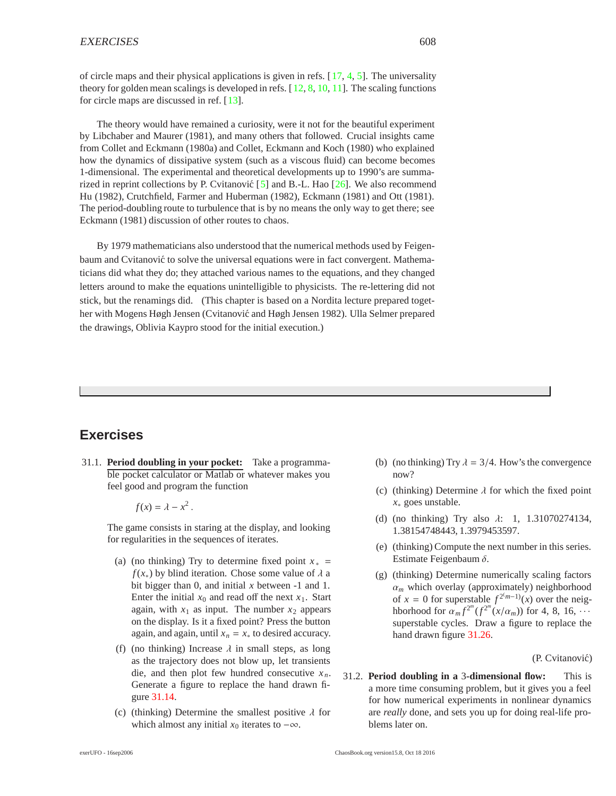of circle maps and their physical applications is given in refs.  $[17, 4, 5]$  $[17, 4, 5]$  $[17, 4, 5]$  $[17, 4, 5]$  $[17, 4, 5]$  $[17, 4, 5]$ . The universality theory for golden mean scalings is developed in refs.  $[12, 8, 10, 11]$  $[12, 8, 10, 11]$  $[12, 8, 10, 11]$  $[12, 8, 10, 11]$  $[12, 8, 10, 11]$  $[12, 8, 10, 11]$  $[12, 8, 10, 11]$  $[12, 8, 10, 11]$ . The scaling functions for circle maps are discussed in ref. [[13\]](#page-22-4).

The theory would have remained a curiosity, were it not for the beautiful experiment by Libchaber and Maurer (1981), and many others that followed. Crucial insights came from Collet and Eckmann (1980a) and Collet, Eckmann and Koch (1980) who explained how the dynamics of dissipative system (such as a viscous fluid) can become becomes 1-dimensional. The experimental and theoretical developments up to 1990's are summarized in reprint collections by P. Cvitanović  $[5]$  and B.-L. Hao  $[26]$ . We also recommend Hu (1982), Crutchfield, Farmer and Huberman (1982), Eckmann (1981) and Ott (1981). The period-doubling route to turbulence that is by no means the only way to get there; see Eckmann (1981) discussion of other routes to chaos.

By 1979 mathematicians also understood that the numerical methods used by Feigenbaum and Cvitanović to solve the universal equations were in fact convergent. Mathematicians did what they do; they attached various names to the equations, and they changed letters around to make the equations unintelligible to physicists. The re-lettering did not stick, but the renamings did. (This chapter is based on a Nordita lecture prepared together with Mogens Høgh Jensen (Cvitanović and Høgh Jensen 1982). Ulla Selmer prepared the drawings, Oblivia Kaypro stood for the initial execution.)

### **Exercises**

<span id="page-19-1"></span>31.1. **Period doubling in your pocket:** Take a programmable pocket calculator or Matlab or whatever makes you feel good and program the function

 $f(x) = \lambda - x^2$ .

The game consists in staring at the display, and looking for regularities in the sequences of iterates.

- (a) (no thinking) Try to determine fixed point  $x_*$  =  $f(x_*)$  by blind iteration. Chose some value of  $\lambda$  a bit bigger than 0, and initial *x* between -1 and 1. Enter the initial  $x_0$  and read off the next  $x_1$ . Start again, with  $x_1$  as input. The number  $x_2$  appears on the display. Is it a fixed point? Press the button again, and again, until  $x_n = x_*$  to desired accuracy.
- (f) (no thinking) Increase  $\lambda$  in small steps, as long as the trajectory does not blow up, let transients die, and then plot few hundred consecutive  $x_n$ . Generate a figure to replace the hand drawn figure [31.14.](#page-8-1)
- (c) (thinking) Determine the smallest positive  $\lambda$  for which almost any initial  $x_0$  iterates to  $-\infty$ .
- (b) (no thinking) Try  $\lambda = 3/4$ . How's the convergence now?
- (c) (thinking) Determine  $\lambda$  for which the fixed point *x*<sup>∗</sup> goes unstable.
- (d) (no thinking) Try also  $\lambda$ : 1, 1.31070274134, 1.38154748443, 1.3979453597.
- (e) (thinking) Compute the next number in this series. Estimate Feigenbaum  $\delta$ .
- (g) (thinking) Determine numerically scaling factors  $\alpha_m$  which overlay (approximately) neighborhood of  $x = 0$  for superstable  $f^{2(m-1)}(x)$  over the neighborhood for  $\alpha_m f^{2^m}(f^{2^m}(x/\alpha_m))$  for 4, 8, 16,  $\cdots$ superstable cycles. Draw a figure to replace the hand drawn figure [31.26.](#page-14-1)

(P. Cvitanović)

<span id="page-19-0"></span>31.2. **Period doubling in a** 3**-dimensional flow:** This is a more time consuming problem, but it gives you a feel for how numerical experiments in nonlinear dynamics are *really* done, and sets you up for doing real-life problems later on.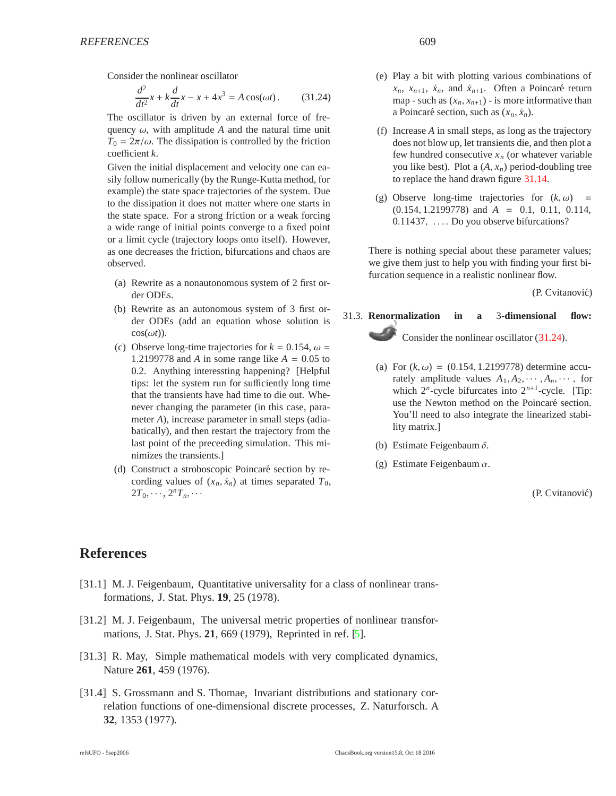Consider the nonlinear oscillator

<span id="page-20-4"></span>
$$
\frac{d^2}{dt^2}x + k\frac{d}{dt}x - x + 4x^3 = A\cos(\omega t). \tag{31.24}
$$

The oscillator is driven by an external force of frequency  $\omega$ , with amplitude A and the natural time unit  $T_0 = 2\pi/\omega$ . The dissipation is controlled by the friction coefficient *k*.

Given the initial displacement and velocity one can easily follow numerically (by the Runge-Kutta method, for example) the state space trajectories of the system. Due to the dissipation it does not matter where one starts in the state space. For a strong friction or a weak forcing a wide range of initial points converge to a fixed point or a limit cycle (trajectory loops onto itself). However, as one decreases the friction, bifurcations and chaos are observed.

- (a) Rewrite as a nonautonomous system of 2 first order ODEs.
- (b) Rewrite as an autonomous system of 3 first order ODEs (add an equation whose solution is  $cos(\omega t)$ ).
- (c) Observe long-time trajectories for  $k = 0.154$ ,  $\omega =$ 1.2199778 and *A* in some range like  $A = 0.05$  to 0.2. Anything interessting happening? [Helpful tips: let the system run for sufficiently long time that the transients have had time to die out. Whenever changing the parameter (in this case, parameter *A*), increase parameter in small steps (adiabatically), and then restart the trajectory from the last point of the preceeding simulation. This minimizes the transients.]
- (d) Construct a stroboscopic Poincaré section by recording values of  $(x_n, \dot{x}_n)$  at times separated  $T_0$ ,  $2T_0, \cdots, 2^n T_n, \cdots$
- (e) Play a bit with plotting various combinations of  $x_n$ ,  $x_{n+1}$ ,  $\dot{x}_n$ , and  $\dot{x}_{n+1}$ . Often a Poincaré return map - such as  $(x_n, x_{n+1})$  - is more informative than a Poincaré section, such as  $(x_n, \dot{x}_n)$ .
- (f) Increase *A* in small steps, as long as the trajectory does not blow up, let transients die, and then plot a few hundred consecutive  $x_n$  (or whatever variable you like best). Plot a  $(A, x_n)$  period-doubling tree to replace the hand drawn figure [31.14.](#page-8-1)
- (g) Observe long-time trajectories for  $(k, \omega)$  = (0.154, 1.2199778) and *A* = 0.1, 0.11, 0.114, 0.11437, ... . Do you observe bifurcations?

There is nothing special about these parameter values; we give them just to help you with finding your first bifurcation sequence in a realistic nonlinear flow.

(P. Cvitanović)

## <span id="page-20-0"></span>31.3. **Renormalization in a** 3**-dimensional flow:** Consider the nonlinear oscillator [\(31.24\)](#page-20-4).

- (a) For  $(k, \omega) = (0.154, 1.2199778)$  determine accurately amplitude values  $A_1, A_2, \cdots, A_n, \cdots$ , for which  $2^n$ -cycle bifurcates into  $2^{n+1}$ -cycle. [Tip: use the Newton method on the Poincaré section. You'll need to also integrate the linearized stability matrix.]
- (b) Estimate Feigenbaum  $\delta$ .
- (g) Estimate Feigenbaum  $\alpha$ .

(P. Cvitanović)

### <span id="page-20-1"></span>**References**

- [31.1] M. J. Feigenbaum, Quantitative universality for a class of nonlinear transformations, J. Stat. Phys. **19**, 25 (1978).
- <span id="page-20-2"></span>[31.2] M. J. Feigenbaum, The universal metric properties of nonlinear transformations, J. Stat. Phys. **21**, 669 (1979), Reprinted in ref. [\[5\]](#page--1-8).
- <span id="page-20-3"></span>[31.3] R. May, Simple mathematical models with very complicated dynamics, Nature **261**, 459 (1976).
- [31.4] S. Grossmann and S. Thomae, Invariant distributions and stationary correlation functions of one-dimensional discrete processes, Z. Naturforsch. A **32**, 1353 (1977).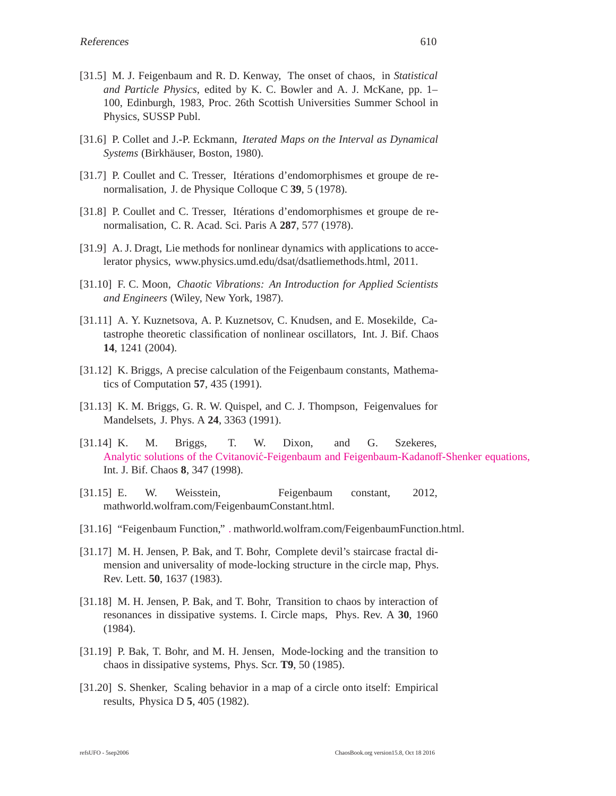- <span id="page-21-0"></span>[31.5] M. J. Feigenbaum and R. D. Kenway, The onset of chaos, in *Statistical and Particle Physics*, edited by K. C. Bowler and A. J. McKane, pp. 1– 100, Edinburgh, 1983, Proc. 26th Scottish Universities Summer School in Physics, SUSSP Publ.
- <span id="page-21-1"></span>[31.6] P. Collet and J.-P. Eckmann, *Iterated Maps on the Interval as Dynamical Systems* (Birkh¨auser, Boston, 1980).
- <span id="page-21-2"></span>[31.7] P. Coullet and C. Tresser, Itérations d'endomorphismes et groupe de renormalisation, J. de Physique Colloque C **39**, 5 (1978).
- [31.8] P. Coullet and C. Tresser, Itérations d'endomorphismes et groupe de renormalisation, C. R. Acad. Sci. Paris A **287**, 577 (1978).
- <span id="page-21-3"></span>[31.9] A. J. Dragt, Lie methods for nonlinear dynamics with applications to accelerator physics, www.physics.umd.edu/dsat/dsatliemethods.html, 2011.
- [31.10] F. C. Moon, *Chaotic Vibrations: An Introduction for Applied Scientists and Engineers* (Wiley, New York, 1987).
- <span id="page-21-4"></span>[31.11] A. Y. Kuznetsova, A. P. Kuznetsov, C. Knudsen, and E. Mosekilde, Catastrophe theoretic classification of nonlinear oscillators, Int. J. Bif. Chaos **14**, 1241 (2004).
- <span id="page-21-5"></span>[31.12] K. Briggs, A precise calculation of the Feigenbaum constants, Mathematics of Computation **57**, 435 (1991).
- <span id="page-21-6"></span>[31.13] K. M. Briggs, G. R. W. Quispel, and C. J. Thompson, Feigenvalues for Mandelsets, J. Phys. A **24**, 3363 (1991).
- <span id="page-21-7"></span>[31.14] K. M. Briggs, T. W. Dixon, and G. Szekeres, Analytic solutions of the Cvitanović-Feigenbaum and Feigenbaum-Kadanoff-Shenker equations, Int. J. Bif. Chaos **8**, 347 (1998).
- <span id="page-21-8"></span>[31.15] E. W. Weisstein, Feigenbaum constant, 2012, mathworld.wolfram.com/FeigenbaumConstant.html.
- <span id="page-21-9"></span>[31.16] "Feigenbaum Function," [.](http://mathworld.wolfram.com/FeigenbaumFunction.html) mathworld.wolfram.com/FeigenbaumFunction.html.
- [31.17] M. H. Jensen, P. Bak, and T. Bohr, Complete devil's staircase fractal dimension and universality of mode-locking structure in the circle map, Phys. Rev. Lett. **50**, 1637 (1983).
- <span id="page-21-10"></span>[31.18] M. H. Jensen, P. Bak, and T. Bohr, Transition to chaos by interaction of resonances in dissipative systems. I. Circle maps, Phys. Rev. A **30**, 1960 (1984).
- <span id="page-21-11"></span>[31.19] P. Bak, T. Bohr, and M. H. Jensen, Mode-locking and the transition to chaos in dissipative systems, Phys. Scr. **T9**, 50 (1985).
- <span id="page-21-12"></span>[31.20] S. Shenker, Scaling behavior in a map of a circle onto itself: Empirical results, Physica D **5**, 405 (1982).